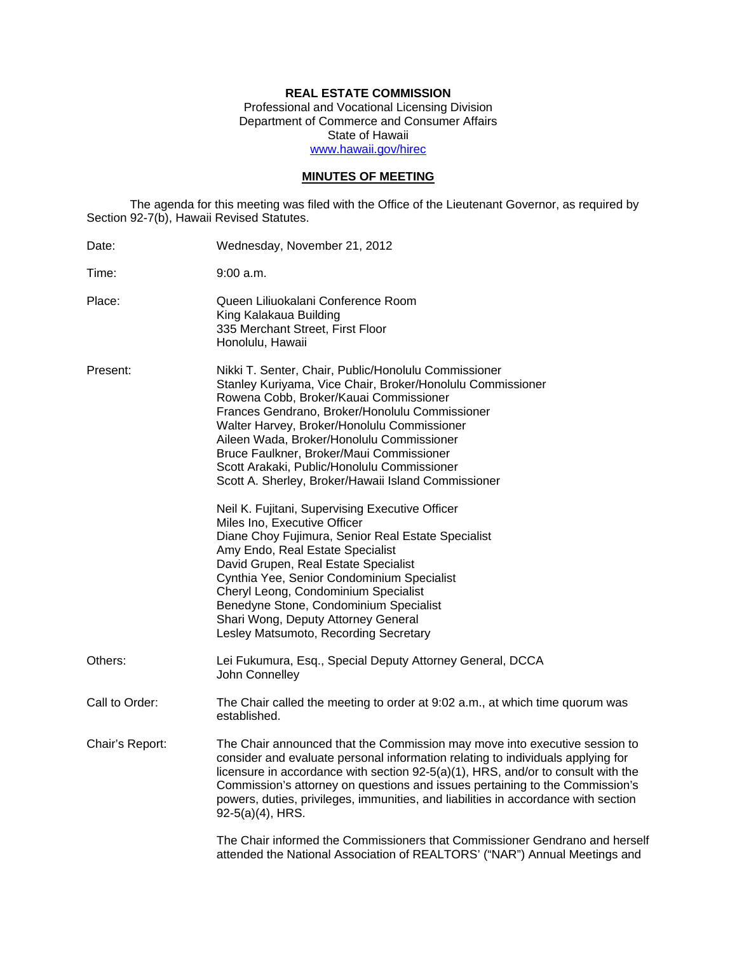# **REAL ESTATE COMMISSION**

Professional and Vocational Licensing Division Department of Commerce and Consumer Affairs State of Hawaii www.hawaii.gov/hirec

# **MINUTES OF MEETING**

The agenda for this meeting was filed with the Office of the Lieutenant Governor, as required by Section 92-7(b), Hawaii Revised Statutes.

| Date:           | Wednesday, November 21, 2012                                                                                                                                                                                                                                                                                                                                                                                                                                 |
|-----------------|--------------------------------------------------------------------------------------------------------------------------------------------------------------------------------------------------------------------------------------------------------------------------------------------------------------------------------------------------------------------------------------------------------------------------------------------------------------|
| Time:           | 9:00 a.m.                                                                                                                                                                                                                                                                                                                                                                                                                                                    |
| Place:          | Queen Liliuokalani Conference Room<br>King Kalakaua Building<br>335 Merchant Street, First Floor<br>Honolulu, Hawaii                                                                                                                                                                                                                                                                                                                                         |
| Present:        | Nikki T. Senter, Chair, Public/Honolulu Commissioner<br>Stanley Kuriyama, Vice Chair, Broker/Honolulu Commissioner<br>Rowena Cobb, Broker/Kauai Commissioner<br>Frances Gendrano, Broker/Honolulu Commissioner<br>Walter Harvey, Broker/Honolulu Commissioner<br>Aileen Wada, Broker/Honolulu Commissioner<br>Bruce Faulkner, Broker/Maui Commissioner<br>Scott Arakaki, Public/Honolulu Commissioner<br>Scott A. Sherley, Broker/Hawaii Island Commissioner |
|                 | Neil K. Fujitani, Supervising Executive Officer<br>Miles Ino, Executive Officer<br>Diane Choy Fujimura, Senior Real Estate Specialist<br>Amy Endo, Real Estate Specialist<br>David Grupen, Real Estate Specialist<br>Cynthia Yee, Senior Condominium Specialist<br>Cheryl Leong, Condominium Specialist<br>Benedyne Stone, Condominium Specialist<br>Shari Wong, Deputy Attorney General<br>Lesley Matsumoto, Recording Secretary                            |
| Others:         | Lei Fukumura, Esq., Special Deputy Attorney General, DCCA<br>John Connelley                                                                                                                                                                                                                                                                                                                                                                                  |
| Call to Order:  | The Chair called the meeting to order at 9:02 a.m., at which time quorum was<br>established.                                                                                                                                                                                                                                                                                                                                                                 |
| Chair's Report: | The Chair announced that the Commission may move into executive session to<br>consider and evaluate personal information relating to individuals applying for<br>licensure in accordance with section 92-5(a)(1), HRS, and/or to consult with the<br>Commission's attorney on questions and issues pertaining to the Commission's<br>powers, duties, privileges, immunities, and liabilities in accordance with section<br>92-5(a)(4), HRS.                  |
|                 | The Chair informed the Commissioners that Commissioner Gendrano and herself<br>attended the National Association of REALTORS' ("NAR") Annual Meetings and                                                                                                                                                                                                                                                                                                    |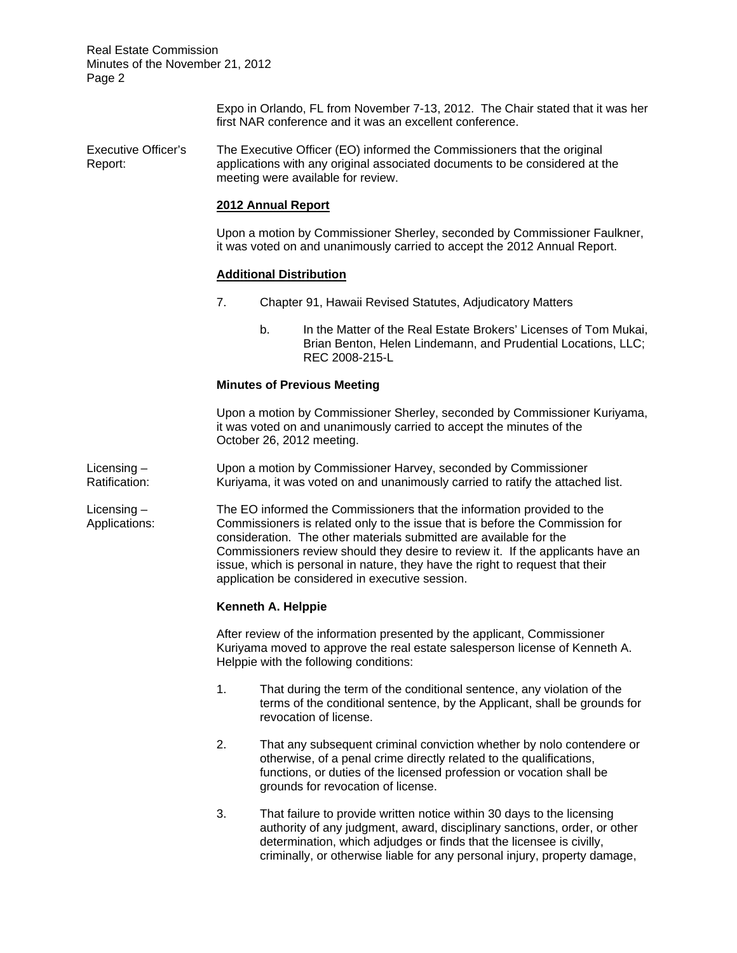Real Estate Commission Minutes of the November 21, 2012 Page 2

> Expo in Orlando, FL from November 7-13, 2012. The Chair stated that it was her first NAR conference and it was an excellent conference.

Executive Officer's The Executive Officer (EO) informed the Commissioners that the original Report: applications with any original associated documents to be considered at the meeting were available for review.

### **2012 Annual Report**

Upon a motion by Commissioner Sherley, seconded by Commissioner Faulkner, it was voted on and unanimously carried to accept the 2012 Annual Report.

### **Additional Distribution**

- 7. Chapter 91, Hawaii Revised Statutes, Adjudicatory Matters
	- b. In the Matter of the Real Estate Brokers' Licenses of Tom Mukai, Brian Benton, Helen Lindemann, and Prudential Locations, LLC; REC 2008-215-L

### **Minutes of Previous Meeting**

Upon a motion by Commissioner Sherley, seconded by Commissioner Kuriyama, it was voted on and unanimously carried to accept the minutes of the October 26, 2012 meeting.

Licensing – Upon a motion by Commissioner Harvey, seconded by Commissioner Ratification: Kuriyama, it was voted on and unanimously carried to ratify the attached list.

Licensing – The EO informed the Commissioners that the information provided to the Applications: Commissioners is related only to the issue that is before the Commission for consideration. The other materials submitted are available for the Commissioners review should they desire to review it. If the applicants have an issue, which is personal in nature, they have the right to request that their application be considered in executive session.

### **Kenneth A. Helppie**

After review of the information presented by the applicant, Commissioner Kuriyama moved to approve the real estate salesperson license of Kenneth A. Helppie with the following conditions:

- 1. That during the term of the conditional sentence, any violation of the terms of the conditional sentence, by the Applicant, shall be grounds for revocation of license.
- 2. That any subsequent criminal conviction whether by nolo contendere or otherwise, of a penal crime directly related to the qualifications, functions, or duties of the licensed profession or vocation shall be grounds for revocation of license.
- 3. That failure to provide written notice within 30 days to the licensing authority of any judgment, award, disciplinary sanctions, order, or other determination, which adjudges or finds that the licensee is civilly, criminally, or otherwise liable for any personal injury, property damage,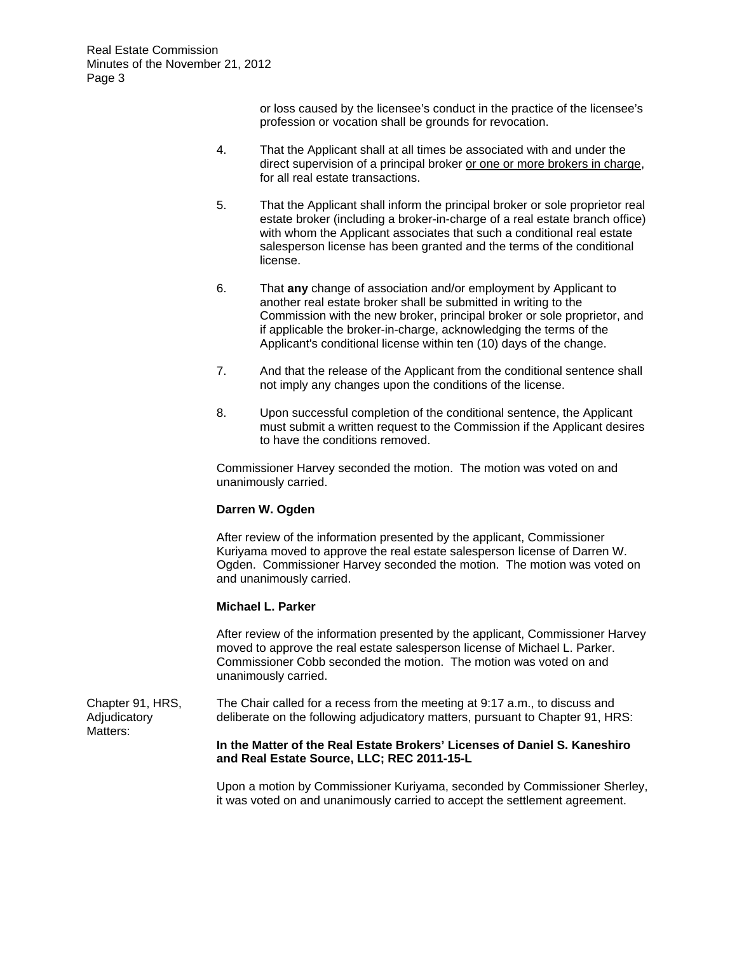or loss caused by the licensee's conduct in the practice of the licensee's profession or vocation shall be grounds for revocation.

- 4. That the Applicant shall at all times be associated with and under the direct supervision of a principal broker or one or more brokers in charge, for all real estate transactions.
- 5. That the Applicant shall inform the principal broker or sole proprietor real estate broker (including a broker-in-charge of a real estate branch office) with whom the Applicant associates that such a conditional real estate salesperson license has been granted and the terms of the conditional license.
- 6. That **any** change of association and/or employment by Applicant to another real estate broker shall be submitted in writing to the Commission with the new broker, principal broker or sole proprietor, and if applicable the broker-in-charge, acknowledging the terms of the Applicant's conditional license within ten (10) days of the change.
- 7. And that the release of the Applicant from the conditional sentence shall not imply any changes upon the conditions of the license.
- 8. Upon successful completion of the conditional sentence, the Applicant must submit a written request to the Commission if the Applicant desires to have the conditions removed.

Commissioner Harvey seconded the motion. The motion was voted on and unanimously carried.

### **Darren W. Ogden**

After review of the information presented by the applicant, Commissioner Kuriyama moved to approve the real estate salesperson license of Darren W. Ogden. Commissioner Harvey seconded the motion. The motion was voted on and unanimously carried.

### **Michael L. Parker**

After review of the information presented by the applicant, Commissioner Harvey moved to approve the real estate salesperson license of Michael L. Parker. Commissioner Cobb seconded the motion. The motion was voted on and unanimously carried.

Chapter 91, HRS, The Chair called for a recess from the meeting at 9:17 a.m., to discuss and Adjudicatory deliberate on the following adjudicatory matters, pursuant to Chapter 91, HRS: Matters:

#### **In the Matter of the Real Estate Brokers' Licenses of Daniel S. Kaneshiro and Real Estate Source, LLC; REC 2011-15-L**

Upon a motion by Commissioner Kuriyama, seconded by Commissioner Sherley, it was voted on and unanimously carried to accept the settlement agreement.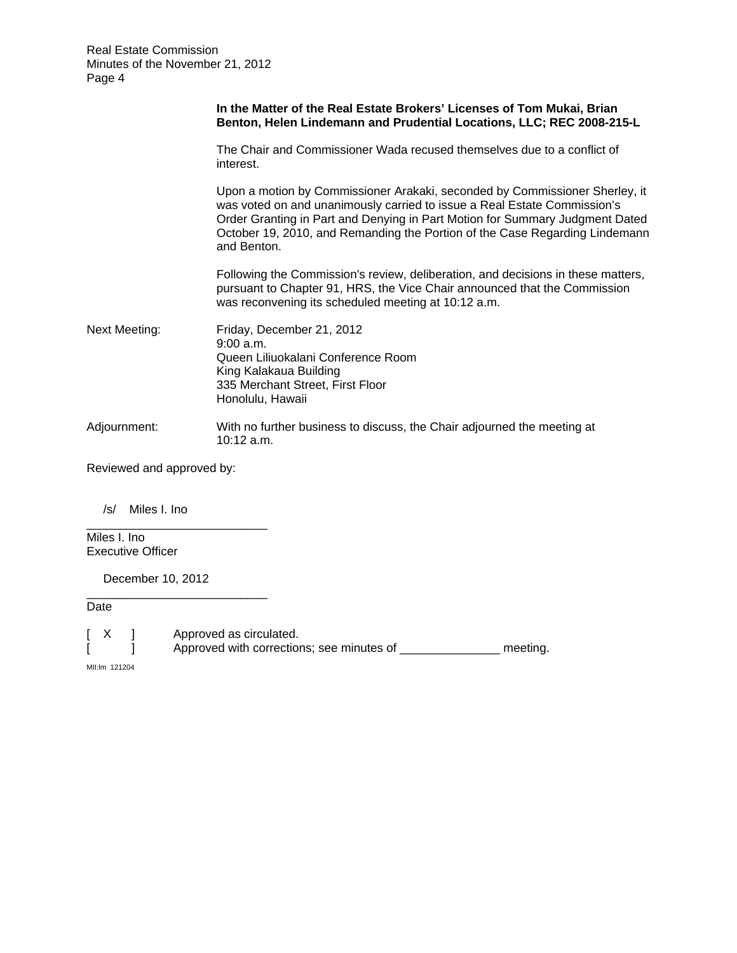|                      | In the Matter of the Real Estate Brokers' Licenses of Tom Mukai, Brian<br>Benton, Helen Lindemann and Prudential Locations, LLC; REC 2008-215-L                                                                                                                                                                                       |
|----------------------|---------------------------------------------------------------------------------------------------------------------------------------------------------------------------------------------------------------------------------------------------------------------------------------------------------------------------------------|
|                      | The Chair and Commissioner Wada recused themselves due to a conflict of<br>interest.                                                                                                                                                                                                                                                  |
|                      | Upon a motion by Commissioner Arakaki, seconded by Commissioner Sherley, it<br>was voted on and unanimously carried to issue a Real Estate Commission's<br>Order Granting in Part and Denying in Part Motion for Summary Judgment Dated<br>October 19, 2010, and Remanding the Portion of the Case Regarding Lindemann<br>and Benton. |
|                      | Following the Commission's review, deliberation, and decisions in these matters,<br>pursuant to Chapter 91, HRS, the Vice Chair announced that the Commission<br>was reconvening its scheduled meeting at 10:12 a.m.                                                                                                                  |
| <b>Next Meeting:</b> | Friday, December 21, 2012<br>9:00 a.m.<br>Queen Liliuokalani Conference Room<br>King Kalakaua Building<br>335 Merchant Street, First Floor<br>Honolulu, Hawaii                                                                                                                                                                        |
| Adjournment:         | With no further business to discuss, the Chair adjourned the meeting at<br>10:12 a.m.                                                                                                                                                                                                                                                 |

Reviewed and approved by:

\_\_\_\_\_\_\_\_\_\_\_\_\_\_\_\_\_\_\_\_\_\_\_\_\_\_\_

\_\_\_\_\_\_\_\_\_\_\_\_\_\_\_\_\_\_\_\_\_\_\_\_\_\_\_

/s/ Miles I. Ino

Miles I. Ino Executive Officer

December 10, 2012

Date

[ X ] Approved as circulated.

[  $\frac{1}{2}$  Approved with corrections; see minutes of \_\_\_\_\_\_\_\_\_\_\_\_\_\_\_\_\_\_\_ meeting.

MII:lm 121204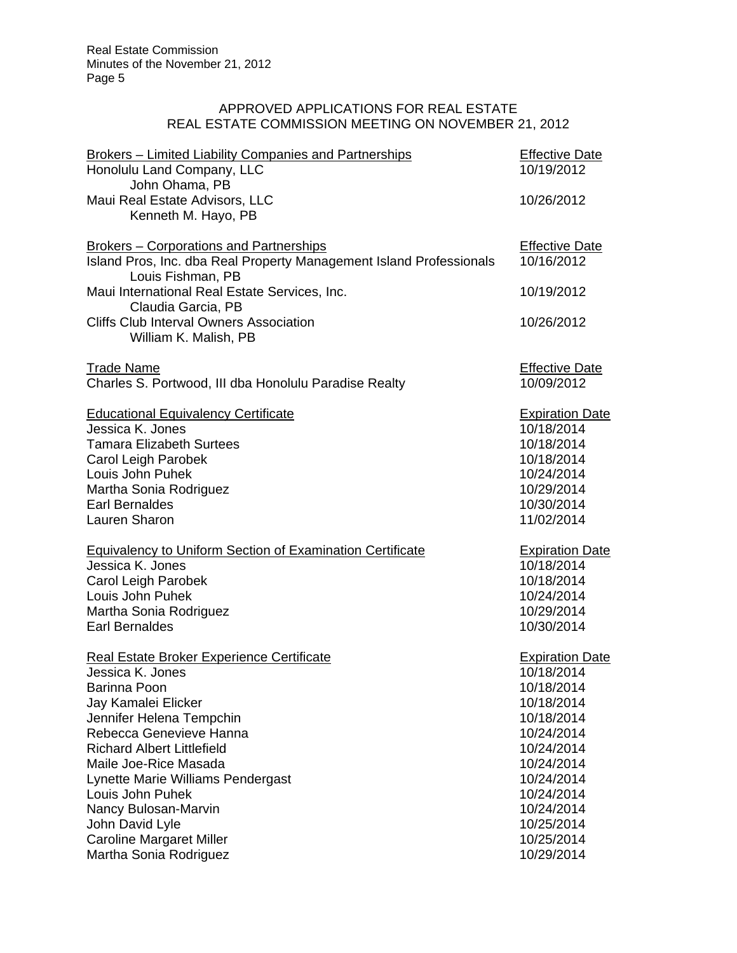# APPROVED APPLICATIONS FOR REAL ESTATE REAL ESTATE COMMISSION MEETING ON NOVEMBER 21, 2012

| <b>Brokers - Limited Liability Companies and Partnerships</b><br>Honolulu Land Company, LLC | <b>Effective Date</b><br>10/19/2012 |
|---------------------------------------------------------------------------------------------|-------------------------------------|
| John Ohama, PB                                                                              |                                     |
| Maui Real Estate Advisors, LLC                                                              | 10/26/2012                          |
| Kenneth M. Hayo, PB                                                                         |                                     |
| <b>Brokers – Corporations and Partnerships</b>                                              | <b>Effective Date</b>               |
| Island Pros, Inc. dba Real Property Management Island Professionals                         | 10/16/2012                          |
| Louis Fishman, PB<br>Maui International Real Estate Services, Inc.                          | 10/19/2012                          |
| Claudia Garcia, PB                                                                          |                                     |
| <b>Cliffs Club Interval Owners Association</b>                                              | 10/26/2012                          |
| William K. Malish, PB                                                                       |                                     |
|                                                                                             |                                     |
| <b>Trade Name</b>                                                                           | <b>Effective Date</b>               |
| Charles S. Portwood, III dba Honolulu Paradise Realty                                       | 10/09/2012                          |
|                                                                                             |                                     |
| <b>Educational Equivalency Certificate</b>                                                  | <b>Expiration Date</b>              |
| Jessica K. Jones                                                                            | 10/18/2014                          |
| <b>Tamara Elizabeth Surtees</b>                                                             | 10/18/2014                          |
| Carol Leigh Parobek                                                                         | 10/18/2014                          |
| Louis John Puhek                                                                            | 10/24/2014                          |
| Martha Sonia Rodriguez                                                                      | 10/29/2014                          |
| Earl Bernaldes                                                                              | 10/30/2014                          |
| Lauren Sharon                                                                               | 11/02/2014                          |
| <b>Equivalency to Uniform Section of Examination Certificate</b>                            | <b>Expiration Date</b>              |
| Jessica K. Jones                                                                            | 10/18/2014                          |
| Carol Leigh Parobek                                                                         | 10/18/2014                          |
| Louis John Puhek                                                                            | 10/24/2014                          |
| Martha Sonia Rodriguez                                                                      | 10/29/2014                          |
| <b>Earl Bernaldes</b>                                                                       | 10/30/2014                          |
| Real Estate Broker Experience Certificate                                                   | <b>Expiration Date</b>              |
| Jessica K. Jones                                                                            | 10/18/2014                          |
| Barinna Poon                                                                                | 10/18/2014                          |
| Jay Kamalei Elicker                                                                         | 10/18/2014                          |
| Jennifer Helena Tempchin                                                                    | 10/18/2014                          |
| Rebecca Genevieve Hanna                                                                     | 10/24/2014                          |
| <b>Richard Albert Littlefield</b>                                                           | 10/24/2014                          |
| Maile Joe-Rice Masada                                                                       | 10/24/2014                          |
| Lynette Marie Williams Pendergast                                                           | 10/24/2014                          |
| Louis John Puhek                                                                            | 10/24/2014                          |
| Nancy Bulosan-Marvin                                                                        | 10/24/2014                          |
| John David Lyle                                                                             | 10/25/2014                          |
| <b>Caroline Margaret Miller</b>                                                             | 10/25/2014                          |
| Martha Sonia Rodriguez                                                                      | 10/29/2014                          |